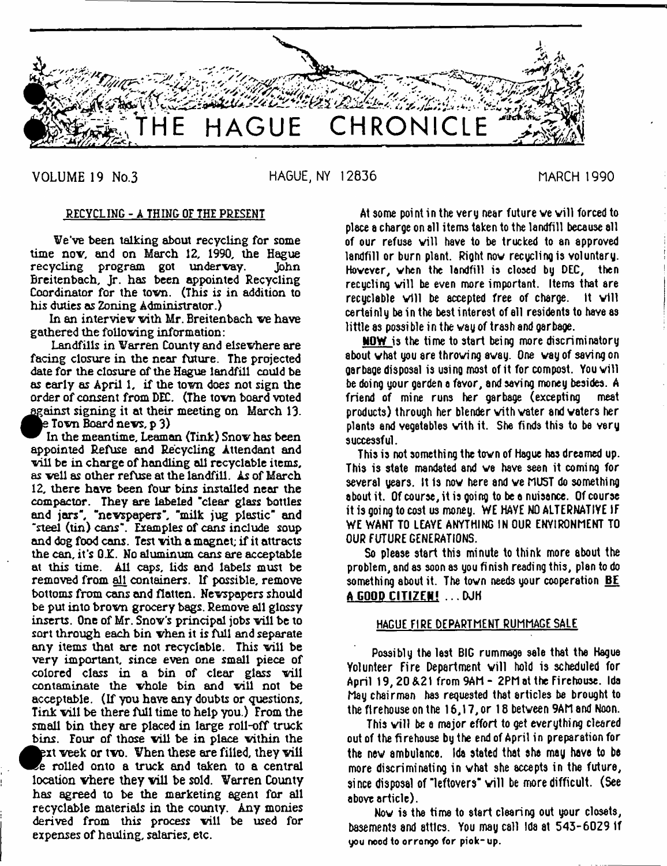

VOLUME 19 No.3

HAGUE, NY 12836

**MARCH 1990** 

## RECYCLING - A THING OF THE PRESENT

We've been talking about recycling for some time now, and on March 12, 1990, the Hague<br>recycling program got underway. John recycling program got undervay. Breitenbach, Jr. has been appointed Recycling Coordinator for the tovn. (This is in addition to his duties as Zoning Administrator.)

In an interview with Mr. Breitenbach we have gathered the following information:

Landfills in Warren County and elsewhere are facing closure in the near future. The projected date for the closure of the Hague landfill could be as early as April 1, if the town does not sign the order of consent from DEC. (The town board voted against signing it at their meeting on March 13. *m ke* Town Board news, p 3)

In the meantime. Leaman (Tink) Snow has been appointed Refuse and Recycling Attendant and will be in charge of handling all recyclable items, as well as other refuse at the landfill. As of March 12, there have been four bins installed near the compactor. They are labeled "clear glass bottles and jars", "newspapers", "milk jug plastic" and 'steel (tin) cans". Examples of cans include soup and dog food cons. Test with a magnet; if it attracts the can, it's G.K. No aluminum cans are acceptable at this time. All caps, lids and labels must be removed from all containers. If possible, remove bottoms from cans and flatten. Newspapers should be put into brown grocery bags. Remove all glossy inserts. One of Mr. Snow's principal jobs will be to sort through each bin when it is full and separate any items that are not recyclable. This will be very important, since even one small piece of colored class in a bin of clear glass will contaminate the whole bin and will not be acceptable, (If you have any doubts or questions, Tink will be there full time to help you.) From the small bin they are placed in large roll-off truck bins. Four of those will be in place within the  $\overline{\mathbf{e}}_6$ <br> $\overline{\mathbf{e}}_7$ ext week or two. When these are filled, they will e rolled onto a truck and taken to a central  $\kappa$ ation vhere they vill be sold. Warren County has agreed to be the marketing agent for all recyclable materials in the county. Any monies derived from this process will be used for expenses of hauling, salaries, etc.

At some point in the very near future we will forced to place a charge on all items taken to the landfill because all of our refuse will have to be trucked to an approved landfill or burn plant. Right nov recycling is voluntary. Hovever, vhen the landfill is closed by DEC, then recycling will be even more important. Items that are recuclable will be accepted free of charge. It will certainly be in the best interest of ell residents to have as little as possi ble in the vay of trash and garbage.

NOW is the time to start being more discriminatory about what you are throwing away. One way of saving on garbage disposal is using most of it for compost. You will be doing your garden a favor, and saving money besides. A friend of mine runs her garbage (excepting meat products) through her blender with water and waters her plants and vegetables vith it. She finds this to be very successful.

This is not something the tovn of Hague has dreamed up. This is state mandated and ve have seen it coming for several years. It is nov here and ve MUST do something about it. Of course, it is going to be a nuisance. Of course it is going to cost us money. WE HAVE NO ALTERNATIVE IF WE WANT TO LEAYE ANYTHING IN OUR ENVIRONMENT TO OUR FUTURE GENERATIONS.

So please start this minute to think more about the problem, and as soon as you finish reading this, plan to do something about it. The town needs your cooperation  $BE$ A GOOD CITIZEN! ... DJH

## HAGUE FIRE DEPARTMENT RUMMAGE SALE

Possibly the last BIG rummage sale that the Hague Yolunteer Fire Department will hold is scheduled for April 19, 20 &21 from 9AM - 2PM at the Firehouse. Ida May chairman has requested that articles be brought to the firehouse on the 16,17, or 18 betveen 9AM and Noon.

This will be a major effort to get everything cleared out of the firehouse by the end of April in preparation for the nev ambulance. Ida stated that aha may have to be more discriminating in vhat she accepts in the future, since disposal of "leftovers" will be more difficult. (See above article).

Nov is the time to start clearing out your closets, basements and attics. You may call Ida at 543-6029 If you nood to orrongo for piok- up.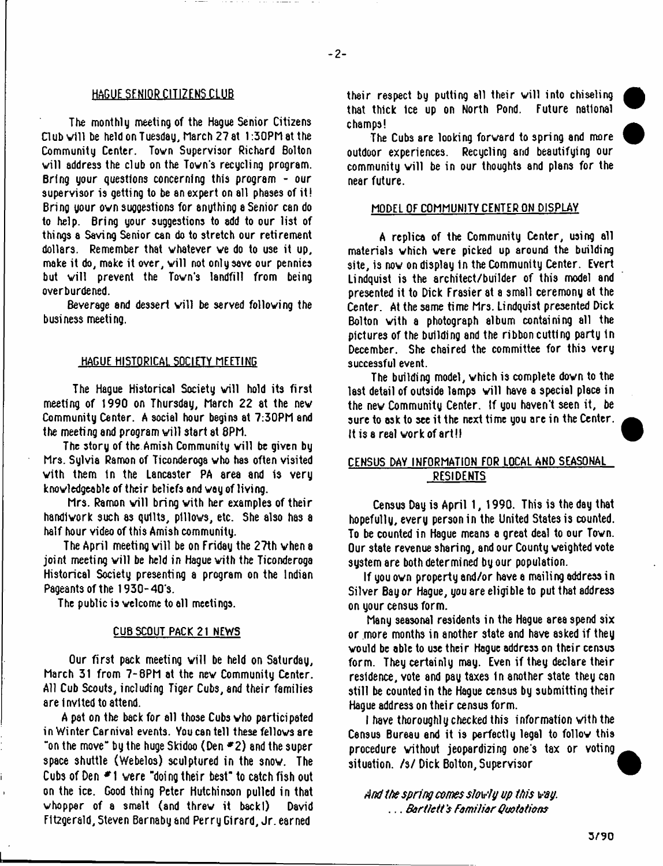## HAGUE SENIOR CITIZENS CLUB

The monthly meeting of the Hague Senior Citizens Dub v1U be held on Tuesday, March 27 at 1:30PM at the Community Center. Tovn Supervisor Richard Bolton will address the club on the Town's recycling program. Bring your questions concerning this program - our supervisor is getting to be an expert on all phases of it! Bring your own suggestions for anything a Senior can do to help. Bring your suggestions to add to our list of things a Saving Senior can do to stretch our retirement dollars. Remember that vhatever ve do to use it up, make it do, make it over, will not only save our pennies but will prevent the Town's landfill from being overburdened.

Beverage and dessert will be served following the business meeting.

#### HAGUE HISTORICAL SOCIETY MEETING

The Hague Historical Society will hold its first meeting of 1990 on Thursday, March 22 at the nev Community Center. A social hour begins at 7:30PM and the meeting and program will start at 8PM.

The story of the Amish Community will be given by Mrs. Sylvia Ramon of Ticonderoga who has often visited vith them 1n the Lancaster PA area and is very knovledgeable of their beliefs and vay of living.

Mrs. Ramon will bring with her examples of their handlvork such as quilts, pillows, etc. She also has a half hour video of this Amish community.

The April meeting will be on Friday the 27th when a joint meeting will be held in Hague with the Ticonderoga Historical Society presenting a program on the Indian Pageants of the 1930-40's.

The public is velcome to all meetings.

### CUB SCOUT PACK 21 NEWS

Our first pack meeting will be held on Saturday, March 31 from 7-8PM at the nev Community Center. All Cub Scouts, including Tiger Cubs, sod their families are Invited to attend.

A pat on the back for all those Cubs vho participated in Winter Carnival events. You can tell these fellovs are "on the move" by the huge Skidoo (Den  $E$ 2) and the super space shuttle (Webelos) sculptured in the snow. The Cubs of Den # 1 were "doing their best" to catch fish out on the ice. Good thing Peter Hutchinson pulled in that whopper of a smelt (and threw it backl) David Ett2gerald, Steven Barnaby and Perry Girard, Jr. earned

their respect by putting all their will into chiseling that thick Ice up on North Pond. Future national champs!

The Cubs are looking forward to spring and more outdoor experiences. Recycling and beautifying our community will be in our thoughts and plans for the near future.

### MODEL OF COMMUNITY CENTER ON DISPLAY

A replica of the Community Center, using all materials which were picked up around the building site, is now on display in the Community Center. Evert Lindquist is the architect/builder of this model and presented it to Dick Frasier at a small ceremony at the Center. At the same time Mrs. Lindquist presented Dick Bolton vith a photograph album containing all the pictures of the building and the ribbon cutting party 1n December. She chaired the committee for this very successful event.

The building model, which is complete dovn to the last detail of outside lamps will have a special place in the nev Community Center, tf you haven't seen it, be sure to ask to see it the next time you are in the Center. It is a real work of art!!

## CENSUS DAY INFORMATION FOR LOCAL AND SEASONAL RESIDENTS

Census Day is April 1, 1990. This is the day that hopefully, every person in the United States is counted. To be counted in Hague means a great deal to our Tovn. Our state revenue sharing, and our County weighted vote system are both determined by our population.

If you ovn property and/or have a mailing address in Silver Bay or Hague, you are eligible to put that address on your census form.

Many seasonal residents in the Hague area spend six or more months in another state and have asked if they would be able to use their Hague address on their census form. They certainly may. Even if they declare their residence, vote and pay taxes In another state they can still be counted in the Hague census by submitting their Hague address on their census form.

I have thoroughly checked this information vith the Census Bureau end it is perfectly legal to follow this procedure vithout jeopardizing one's tax or voting situation, *hi* Dick Bolton, Supervisor

*And ite spring comes slowly up tin's wag. ... Bartlett's Familiar Quotations*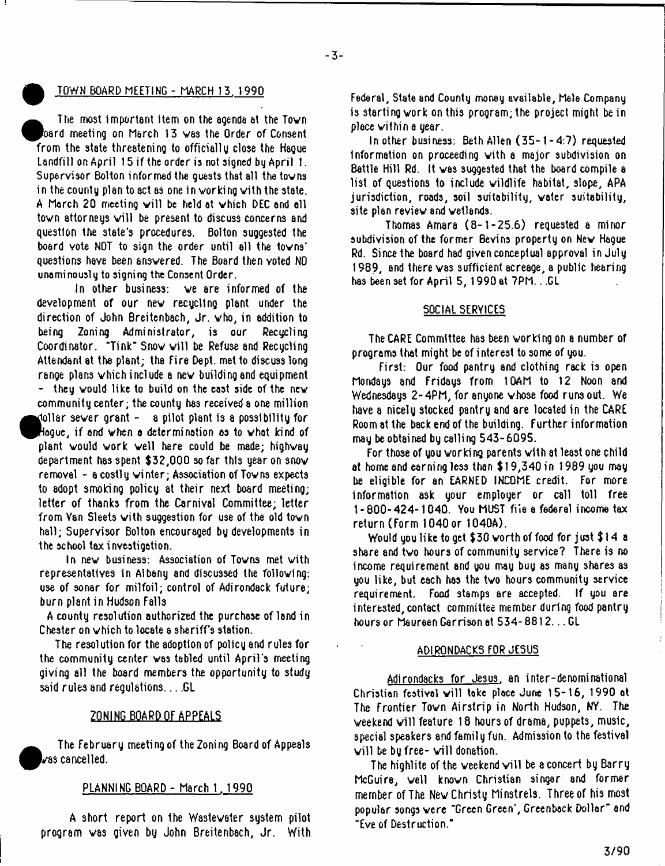## ^ TOWN BOARD MEETING - MARCH 13. 1990

**•** The most important item on the agenda at the Tovn oard meeting on March 13 was the Order of Consent rom the state threatening to officially close the Hague Landfill on April 15 if the order is not signed by April 1. Supervisor Bolton informed the guests that all the tovn3 in the county plan to act as one in working with the state. A March 20 meeting will be held at which DEC and all town attorneys will be present to discuss concerns and question the state's procedures. Bolton suggested the board vote NOT to sign the order until ell the tovns' questions have been ansvered. The Board then voted NO unaminously to signing the Consent Order.

In other business: ve are informed of the development of our nev recycling plant under the direction of John Breitenbach, Jr. vho, in addition to being Zoning Administrator, is our Recycling Coordinator. "Tink" Snow will be Refuse and Recycling Attendant at the plant; the fire Dept, met to discuss long range plans vhich include a nev building and equipment - they vould like to build on the east side of the nev community center; the county has received a one million tol<br>Play<br>dep<br>dep dollar sever grant - a pilot plant is a possibility for Hague, if and vhen a determination as to vhat kind of plant vould vork veil here could be made; highvay department has spent \$32,000 so far this year on snov removal - a costly vinter; Association of Tovns expects to adopt smoking policy at their next board meeting; letter of thanks from the Carnival Committee; letter from Van Sleets vith suggestion for use of the old tovn hall; Supervisor Bolton encouraged by developments in the school tax investigation.

In nev business: Association of Tovns met vith representatives in Albany and discussed the folloving: use of sonar for milfoil; control of Adirondack future; burn plant in Hudson Falls

A county resolution authorized the purchase of land in Chester on vhich to locate a sheriff's station.

The resolution for the adoption of policy and rules for the community center vas tabled until April's meeting giving all the board members the opportunity to study said rules and regulations.  $\ldots$  GL

## ZONING BOARD OF APPEALS

**•** The February meeting of the Zoning Board of Appeals vas cancelled.

## PLANNING BOARD - March 1, 1990

A short report on the Nastewater system pilot.<br>A short given his labor Decidenback to the WAS program vas given by John Breitenbach, Jr. With

Federal, State and County money available, Male Company is starting vork on this program; the project might be in place vithin a year.

In other business: Beth Allen (35- 1 -4:7) requested Information on proceeding vith a major subdivision on Battle Hill Rd. It vas suggested that the board compile a list of questions to include vildlife habitat, slope, APA jurisdiction, roads, soil suitability, vater suitability, site plan reviev and vetlands.

Thomas Amara (8-1-25.6) requested a minor subdivision of the former Bevins property on Nev Hague Rd. Since the board had given conceptual approval in July 1989, and there vas sufficient acreage, a public hearing has been set for April 5, 1990 at 7PM.. .GL

## SOCIAL SERVICES

The CARE Committee has been vorklng on a number of programs that might be of interest to some of you.

First: Our food pantry and clothing rack is open Mondays and Fridays from 10AM to 12 Noon and Wednesdays 2-4PM, for anyone whose food runs out. We have a nicely stocked pantry and are located in the CARE Room at the back end of the building. Further information may be obtained by calling 543-6095.

For those of you vorking parents vith at least one child at home and earning less than \$ 19,340 in 1989 you may be eligible for an EARNED INCOME credit. For more information ask your employer or call toll free 1-800-424-1040. You MUST file a federal income tax return (Form 1040 or 1040A).

Would you like to get \$30 vorthof food for just \$14 a share and two hours of community service? There is no income requirement and you may buy as many shares as you like, but each has the tvo hours community service requirement. Food stamps are accepted. If you are interested, contact committee member during food pantry hours or Maureen Garrison at 534-8812... GL

## ADIRONDACKS FOR JESUS

Adirondacks for Jesus, an inter-denominational Christian festival will take place June 15-16, 1990 at The Frontier Tovn Airstrip in North Hudson, NY. The weekend will feature 18 hours of drama, puppets, music, special speakers and family fun. Admission to the festival will be by free- will donation.

The highlite of the weekend will be a concert by Barry McGuire, veil knovn Christian singer and former member of The Nev Christy Minstrels. Three of his most popular songs were "Green Green', Greenback Dollar" and "Eve of Destruction."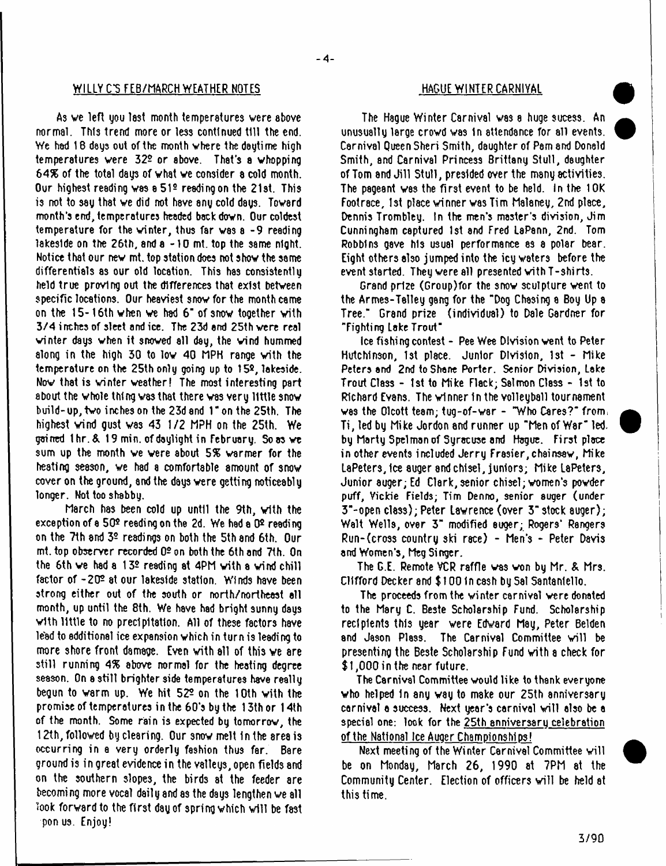## WILLY C'S FEB/MARCH WEATHER NOTES HAGUE WINTER CARNIVAL

As ve left you last month temperatures were above normal. This trend more or le3s continued till the end. We had 18 days out of the month where the daytime high temperatures vere 322 or above. That's a whopping *64%* of the total dags of vhat ve consider a cold month. Our highest reading vas a 519 reading on the 21st. This is not to sag that ve did not hsve ang cold dags. Toward month's end, temperatures headed back down. Our coldest temperature for the winter, thus far vas a -9 reading lakeside on the 26th, and a -10 mt. top the same night. Notice that our nev mt. top station does not show the same differentials as our old location. This has consistently held true proving out the differences that exist between specific locations. Our heaviest snov for the month came on the 15-16th when we had 6" of snow together with 3/4 inches of sleet and ice. The 23d end 25th vere real winter days when it snowed all day, the wind hummed along in the high 30 to low 40 MPH range vith the temperature on the 25th only going up to 15º, lakeside. Nov that is winter weather! The most interesting part about the whole thing was that there was very little snow build-up,tvo inches on the 23d and Ton the 25th. The highest vind gust vas 43 1/2 MPH on the 25th. We gained 1hr.& 19 min. of daylight in February. So <del>as we</del> sum up the month ve vere about *6%* warmer for the heating season, ve had a comfortable amount of snow cover on the ground, end the days were getting noticeably longer. Not too shabby.

March hss been cold up until the 9th, vith the exception of a  $50<sup>°</sup>$  reading on the 2d. We had a  $0<sup>°</sup>$  reading on the 7th and 32 readings on both the 5th and 6th. Our mt. top observer recorded 02 on both the 6th and 7th. On the 6th ve had a 132 reading at 4PM vith a vind chill factor of -202 at our lakeside station. Winds have been strong either out of the south or north/northeast ell month, up until the 8th. We have had bright sunny days vith little to no precipitation. All of these factors have lead to additional ice expansion vhich in turn is leading to more shore front damage. Even vith all of this ve are still running *4%* above normal for the heating degree season. On a still brighter side temperatures have really begun to varm up. We hit 522 on the 10th vith the promise of temperatures in the 60's by the 13th or 14th of the month. Some rain is expected by tomorrow, the 12th, followed by clearing. Our 3nov melt In the srea is occurring in a very orderly fashion thus far. Bare ground is in great evidence in the valleys, open fields and on the southern slopes, the birds at the feeder are becoming more vocal daily and as the days lengthen we all look forward to the first day of spring which will be fast pon us. Enjoy!

The Hague Winter Carnival vas a huge sucess. An unusually large crowd vas In attendance for all events. Carnival Queen Sheri Smith, daughter of Psm 8nd Donald Smith, and Carnival Princess Brittany Stull, daughter of Tom and Jill Stull, presided over the many activities. The pageant vas the first event to be held. In the 10K Footrace, 1st place winner vas Tim Malaney, 2nd place, Dennis Trombley. In the men's master's division, Jim Cunningham captured 1st and Fred LaPann, 2nd. Tom Robbins gave his usual performance 83 a polar bear. Eight others also jumped into the icy waters before the event started. They vere all presented with T-shirts.

Grand prize (Group)for the snov sculpture vent to the Armes-Talley gang for the "Dog Chasing a Boy Up a Tree." Grand prize (individual) to Dale Gardner for "Fighting Lake Trout"

Ice fishing contest - Pee Wee Division vent to Peter Hutchinson, 1st place. Junior Division, 1st - Mike Peters and 2nd to Shane Porter. Senior Division, Lake Trout Class - 1st to Mike Flack; Salmon Class - 1st to Richard Evans. The winner In the volleyball tournament vas the Olcott team; tug-of-var - "Who Cares?" from; Ti, led by Mike Jordon and runner up "Men of War" led. by Marty Spelman of Syracuse and Hague. First place in other events included Jerry Frasier, chainsav, Mike LaPeters, Ice auger and chisel, juniors; Mike LaPeters, Junior auger; Ed Clark, senior chisel; women's powder puff, Vickie Fields; Tim Denno, senior auger (under 3"-open class); Peter Lsvrence (over 3" stock auger); Walt Wells, over 3" modified auger; Rogers' Rangers Run-(cross country ski race) - Men's - Peter Dayis and Women's, Meg Singer.

The G.E. Remote VCR raffle vas von by Mr. & Mrs. Clifford Decker and \$100 in cash by Sal Santaniello.

The proceeds from the winter carnival were donated to the Mary C. Beste Scholarship Fund. Scholarship recipients this year were Edward May, Peter Belden and Jason Plass. The Carnival Committee will be presenting the Beste Scholarship Fund with a check for \$1,000 in the nesr future.

The Carnival Committee vould like to thank everyone vho helped 1n any vay to make our 25th anniversary carnival a success. Next year's carnival will also be a special one: look for the 25th anniversary celebration of the National Ice Auger Championships!

Next meeting of the Winter Carnival Committee will be on Monday, March 26, 1990 at 7PM at the Community Center. Election of officers will be held at this time.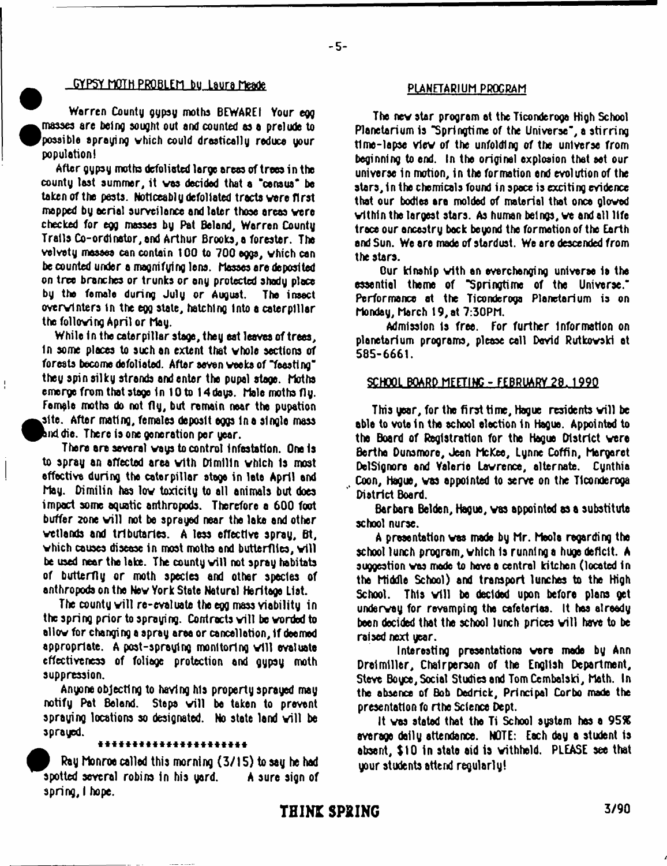# -GYP5Y MOTH PROBLEM bu\_Laura Meade PLANETARIUM PROGRAM

Warren County gypsy moths BEWAREI Your egg masses are being sought out and counted as a prelude to possible spraying vhich could drastically reduce your population)

After gypsy moths defoliated large areas of trees in the county last summer, it vas decided that a 'census\* be taken of the pests. Noticeably defoliated tracts vere first mapped by aerial surveilonce and later those ereas vere checked for egg masses by Pat Beland, Warren County Trails Co-ordlnator,and Arthur Brooks, a forester. The velvety masses can contain 100 to 700 eggs, vhich can be counted under a magnifying lens. Masses are deposited on tree branches or trunks or ony protected shady place by the female during July or August. The insect overvlnters in the egg state, hatching Into a caterpillar the folloving April or May.

While in the caterpillar stage, they eat leaves of trees. In some places to such an extent that vhole sections of forests become defoliated. After seven voeks of "feesting" they spin silky strends and enter the pupal stage. Moths emerge from that stago in 10 to 14doys. Male moths fly. Female moths do not fly, but remain near the pupation ksite. After mating, females deposit eggs In a single mass nddie. There Is one generation per year.

Ť

There are several vays to control infestation. One is to spray an affected area with Dimilin which is most effective during the caterpillar stage in lete April end May. Dimilin has lov toxicity to all animals but does impact some aquatic anthropods. Therefore a 600 foot buffer zone will not be sprayed near the lake and other vetlands and tributaries. A less effective spray, Bt, which causes disease in most moths and butterflies, will be used near the lake. The county will not spray habitats of butterfly or moth species and other spades of anthropods on the Nev York State Natural Heritage List.

The county will re-evaluate the egg mass viability in the spring prior to spraying. Contracts will be worded to allow for changing a spray area or cancellation, if deemed appropriate. A post-spraying monitoring will evaluate effectiveness of foliage protection and ggpsy moth suppression.

Anyone objecting to having his property sprayed may notify Pat Beland. Steps will be taken to prevent spraying locations so designated. No state land will be sprayed.

## \*\*\*\*\*\*\*\*\*\*\*\*\*\*\*\*\*\*\*\*\*

Rag Monroe called this morning (3/15) to say he hod spotted several robins in his yard. A sure sign of spring, I hope.

- 5-

The nev star program ot the Ticonderoga High School Planetarium is "Springtime of the Universe", a stirring time-lapse view of the unfolding of the universe from beginning to end. In the original explosion that sat our universe In motion, in the formation end evolution of the stars, in the chemicals found in space is exciting evidence that our bodies are molded of material that ones glovod vithin the largest stars. As human beings, ve and all life trace our oncestry back beyond the formation of the Earth and Sun. We are mode of stardust. We ere descended from the stars.

Our kinship with an everchanging universe is the essential theme of \*Springtime of the Universe.\* Performance at the Ticonderoga Planetarium is on Monday, March 19, at 7:30PM.

Admission Is free. For further information on planetarium programs, please call David Rutkovski at 585-6661.

### SCHOOL BOARD MEETING - FEBRUARY\_29. 199Q

This year, for the first time, Hague residents will be able to vote in the school elsction in Hague. Appointed to the Board of Registration for the Hague District vere Berthe Dunsmoro, Jeon McKee, Lynne Coffin, Margaret DelSlgnore and Valarie Lawrence, alternate. Cynthia Coon, Hague, vas appointed to serve on the Ticonderoga District Board.

Barbara Belden, Hague, vas appointed as a substitute school nurse.

A presentation was made by Mr. Meola regarding the school lunch program, which Is runnings huge deficit. A suggestion vas made to have a central kitchen (located in the Middle School) and transport lunches to the High School. This will be decided upon before plans get underway for revamping the cafeterias. It has already been decided that the school lunch prices will have to be raised next year.

Interesting presentations vara made by Ann Drelmiller. Chairperson of the English Department, Steve Boyce, Social Studies and TomCembalski, Math. In the absence of Bob Dedrick, Principal Corbo made the presentation fo rthe Science Dept.

It vas stated that the Ti School system has a 95% average dally attendance. NOTE: Each day a student Is absent, \$10 In state aid is withheld. PLEASE see that your students attend regularly!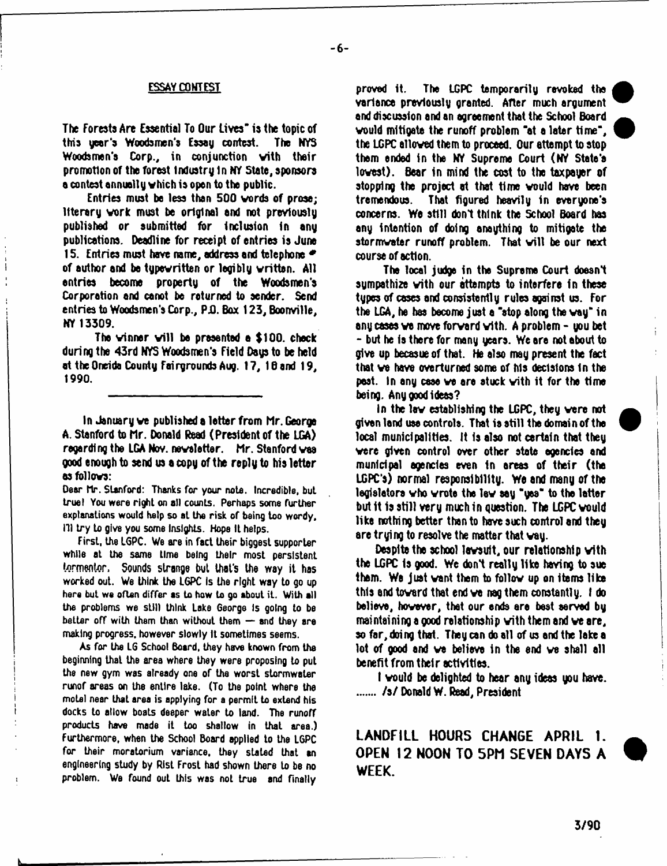## ESSAY CONTEST

The Forests Are Essential To Our Lives" is the topic of this peer's Woodsmen's Essag contest. The NYS Woodsmen's Corp., in conjunction vith their promotion of the forest Industry 1n NY State, sponsors a contest annually vhich is open to the public.

Entries must be less then 500 vords of prose; literary work must be original and not previously published or submitted for inclusion in any publications. Deadline for receipt of entries is June 15. Entries must have name, address end telephone \* of author and be typewritten or legibly written. All entries become property of the Woodsmen's Corporation and canot be returned to sender. Send entries to Woodsmen's Corp., P.O. Box 123, Boonville, NY 13309.

The winner will be presented a \$100, check during the 43rd NYS Woodsmen's Field Days to be held at the Oneida County Fairgrounds Aug. 17, IB and 19, 1990.

In January ve published a letter from Mr. George A. Stanford to Mr. Donald Read (President of the LGA) regardl ng the LGA Nov. nevalotter. Mr. Stanford vaa good enough to send us a copy of the reply to his letter as follovs:

Deer hr. Stanford: Thanks for your note. Incredible, but true) You were right on all counts. Perhaps some further explanations would help so at the risk of being too wordy. 11) try to give you some Insights. Hope It helps.

First, the LGPC. We are in fact their biggest supporter while at the same time being their most persistent tormentor. Sounds strange but that's the way it has worked out. We think the LGPC Is the right way to go up here but we often differ as to how to go about it. With all the problems we still think Lake George is going to be better off with them than without them  $-$  and they are making progress, however slowly It sometimes seems.

As for the LG School Board, they have known from the beginning that the area where they were proposing to put the new gym was already one of the worst stormwaler runof areas on the entire lake. (To the point where the motel near that area is applying for a permit to extend his docks to allow boats deeper water to land. The runoff products have made it too shallow in that area.) Furthermore, when the School Board applied to the LGPC for their moratorium variance, they staled that an engineering study by Rlsl Frost had shown there to be no problem. We found out this was not true and finally

proved it. The LGPC temporarily revoked the variance previously granted. After much argument and discussion and an agreement that the School Board vould mitigate the runoff problem "at a later time", the LGPC alloved them to proceed. Our attempt to stop them ended in the NY Supreme Court (NY Stete'e lovest). Bear in mind the cost to the taxpayer of stopping the project at that time would have been tremendous. That figured heavily in everyone's concerns. We still don't think the School Board has any intention of doing anaything to mitigate the stormwater runoff problem. That will be our next course of action.

The local judge in the Supreme Court doesn't sympathize with our attempts to interfere in these types of cases and consistently rules against us. For the LGA, he has become just e "atop along the vay" in any cases ve move forvard vith. A problem - you bet - but he is there for many years. We are not about to give up becasue of that. He also may present the fact that ve have overturned some of his decisions 1n the peat. In any case ve are stuck vith it for the time being. Any good ideas?

In the lav establishing the LGPC, they vere not given land use controls. That is still the domain of the local municipalities. It Is also not certain that they vere given control over other state agencies and municipal agencies even 1n areas of their (the LGPC's) normal responsibility. We and many of the legislators vho vrete the lev say "yes" to the latter but it is still very much in question. The LGPC vould like nothing better than to haye such control and they are trying to resolve the matter that vay.

Despite the school lavsuft, our relationship vith the LGPC Is good. We don't really like having to sue them. We just want them to follow up on items like this and tovard that end ve nag them constantly. I do believe, hovever, that our ends ere best served by maintaining a good relationship vith them and ve ore, so for, doing that. They can do all of us and the lake a lot of good and ve believe in the end ve shall all benefit from their activities.

I vould be delighted to hear any ideas you have. /s/ Donald W. Read, President

**LANDFILL HOURS CHANGE APRIL 1. OPEN 12 NOON TO 5PM SEVEN DAYS A WEEK.**

ì.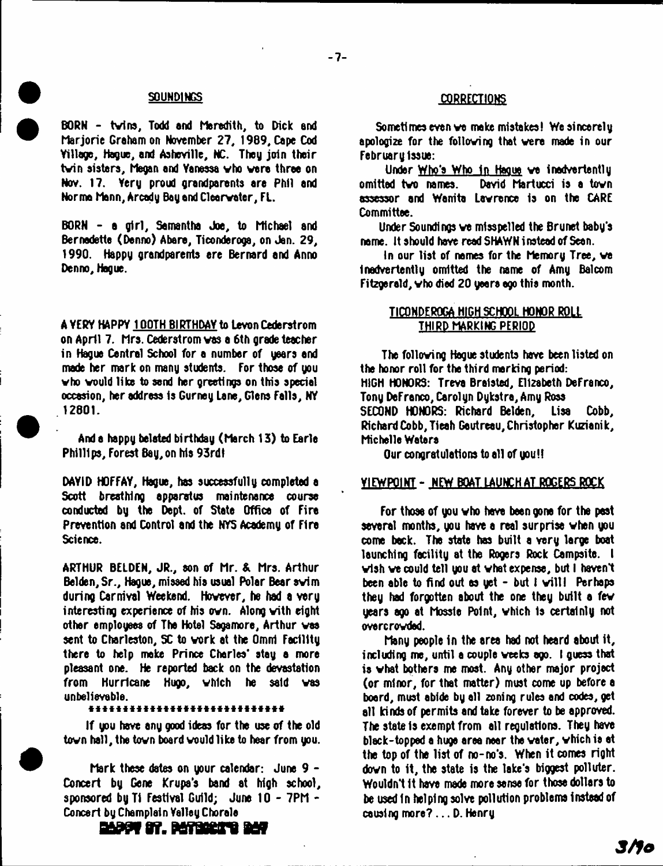BORN - tvins, Todd and Meredith, to Dick end Marjorie Graham on November 27, 1989, Cape Cod Yillage, Hague, and Asheville, NC. They join their tvin sisters, Megan and Yanossa vho vara throe on Nov. 17. Very proud grandparents are Phil and Norma Mann, Arcady Bay end Clearvater, FL.

BORN - a girl, Samantha Joe, to Michael and Bernadette (Denno) Abere, Ticonderoga, on Jan. 29, 1990. Happy grandparents ere Bernard and Anno Denno, Hague.

A YERY HAPPY 100TH BIRTHDAY to Levon Cederstrom on April 7. Mrs. Cederstrom vas a 6th grade teacher in Hague Central School for a number of users and made her mark on many students. For those of you vho vould like to send her greetings on this special occasion, her address Is Gurney Lane, Glens Falls, NY 12801.

And a happy belated birthday (March 13) to Earle Phillips, Forest Bay, on his 93rdt

DAYID HOFFAY, Hague, has successfully completed a Scott breathing apparatus maintenance course conducted by the Dept, of State Office of Fire Prevention and Control and the NYS Academy of Fire Science.

ARTHUR BELDEN, JR., son of Mr. & Mrs. Arthur Belden, Sr., Hague, missed his usual Polar Bear svim during Carnival Weekend. Hovever, he had a very interesting experience of his ovn. Along vith eight other employees of The Hotel Sagamore, Arthur vas sent to Charleston, SC to vork at the Omni Facility there to help moke Prince Charles' stay a more pleasant one. He reported back on the devastation from Hurricane Hugo, vhich he said vas unbelievable.<br>\*\*\*\*\*\*\*\*\*\*\*\*\*\*\*\*\*\*\*\*\*\*\*\*\*\*\*\*\*\*\*\*

If you have any good ideas for the use of the old tovn hall, the tovn board vould like to hear from you.

Mark these dates on your calendar: June 9 - Concert by Gene Krupa's band at high school, sponsored by Ti Festival Guild; June 10 - 7PM - Concert by Champlain Yalley Chorale

# SOUNDINGS CORRECTIONS

Sometimes even we make mistakes! We sincerely apologize for the folloving that vere made in our February Issue:

Under Who's Who In Hague ve inadvertently omitted tvo names. David Martucci is a tovn assessor and Wanita Lawrence is on the CARE Committee.

Under Soundings ve misspelled the Brunet baby's name. It should have read SHAWN instead of Sean.

In our list of names for the Memory Tree, ve Inadvertently omitted the name of Amy Balcom Fitzgerald, vho died 20 years ego this month.

## TICONDEROGA HIGH SCHOOL HONOR ROLL THIRD MARKING PERIOD

The folloving Hague students have been listed on the honor roll for the third marking period: HIGH HONORS: Treva Brelsted, Elizabeth DeFranco, Tony DeFranco, Carolyn Dykstra,Amy Ross SECOND HONORS: Richard Belden, Lisa Cobb, Richard Cobb, Tieah Gautreau, Christopher Kuzianik, Michelle Waters

Our congratulations to all of you!!

## VIEWPOINT- NEW BOAT LAUNCH AT ROGERS ROCK

For those of you vho have been gone for the past several months, you have a real surprise vhen you come beck. The state has built a very large boat launching facility at the Rogers Rock Campsite. I vlsh ve could tell you at vhat expense, but I haven't been able to find out as yet - but I will! Perhaps they had forgotten about the one they built a fev years ago at Mossle Point, vhich is certainly not overcrovded.

Many people in the area had not heard about it, including me, until a couple veeks ago. I guess that is vhat bothers me most. Any other major project (or minor, for that matter) must come up before a board, must abide by all zoning rules and codes, get all kinds of permits and take forever to be approved. The state Is exempt from all regulations. They have black-topped a huge area near the voter, vhich is at the top of the list of no-no's. When it comes right dovn to it, the state is the lake's biggest polluter. Wouldn't It have made more sense for those dollars to be used In helping solve pollution problems instead of causing more?... D. Henry